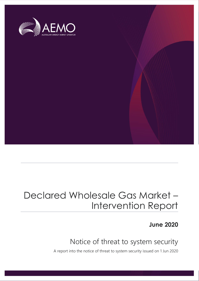

## Declared Wholesale Gas Market – Intervention Report

**June 2020**

## Notice of threat to system security

A report into the notice of threat to system security issued on 1 Jun 2020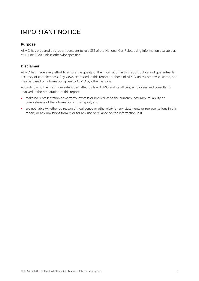### IMPORTANT NOTICE

#### **Purpose**

AEMO has prepared this report pursuant to rule 351 of the National Gas Rules, using information available as at 4 June 2020, unless otherwise specified.

#### **Disclaimer**

AEMO has made every effort to ensure the quality of the information in this report but cannot guarantee its accuracy or completeness. Any views expressed in this report are those of AEMO unless otherwise stated, and may be based on information given to AEMO by other persons.

Accordingly, to the maximum extent permitted by law, AEMO and its officers, employees and consultants involved in the preparation of this report:

- make no representation or warranty, express or implied, as to the currency, accuracy, reliability or completeness of the information in this report; and
- are not liable (whether by reason of negligence or otherwise) for any statements or representations in this report, or any omissions from it, or for any use or reliance on the information in it.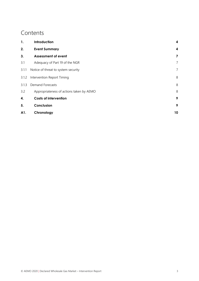### **Contents**

| 1.    | Introduction                             | 4  |
|-------|------------------------------------------|----|
| 2.    | <b>Event Summary</b>                     | 4  |
| 3.    | <b>Assessment of event</b>               | 7  |
| 3.1   | Adequacy of Part 19 of the NGR           | 7  |
| 3.1.1 | Notice of threat to system security      | 7  |
| 3.1.2 | Intervention Report Timing               |    |
| 3.1.3 | <b>Demand Forecasts</b>                  |    |
| 3.2   | Appropriateness of actions taken by AEMO | 8  |
| 4.    | <b>Costs of intervention</b>             | 9  |
| 5.    | Conclusion                               | 9  |
| A1.   | Chronology                               | 10 |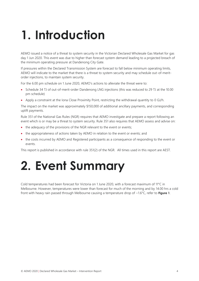# <span id="page-3-0"></span>**1. Introduction**

AEMO issued a notice of a threat to system security in the Victorian Declared Wholesale Gas Market for gas day 1 Jun 2020. This event was due to higher than forecast system demand leading to a projected breach of the minimum operating pressure at Dandenong City Gate.

If pressures within the Declared Transmission System are forecast to fall below minimum operating limits, AEMO will indicate to the market that there is a threat to system security and may schedule out-of-meritorder injections, to maintain system security.

For the 6.00 pm schedule on 1 June 2020, AEMO's actions to alleviate the threat were to:

- Schedule 34 TJ of out-of-merit-order Dandenong LNG injections (this was reduced to 29 TJ at the 10.00 pm schedule)
- Apply a constraint at the Iona Close Proximity Point, restricting the withdrawal quantity to 0 GJ/h.

The impact on the market was approximately \$150,000 of additional ancillary payments, and corresponding uplift payments.

Rule 351 of the National Gas Rules (NGR) requires that AEMO investigate and prepare a report following an event which is or may be a threat to system security. Rule 351 also requires that AEMO assess and advise on:

- the adequacy of the provisions of the NGR relevant to the event or events;
- the appropriateness of actions taken by AEMO in relation to the event or events; and
- the costs incurred by AEMO and Registered participants as a consequence of responding to the event or events.

This report is published in accordance with rule 351(2) of the NGR. All times used in this report are AEST.

# <span id="page-3-1"></span>**2. Event Summary**

Cold temperatures had been forecast for Victoria on 1 June 2020, with a forecast maximum of 11°C in Melbourne. However, temperatures were lower than forecast for much of the morning and by 14.00 hrs a cold front with heavy rain passed through Melbourne causing a temperature drop of ~1.6°C, refer to **[Figure](#page-4-0) 1**.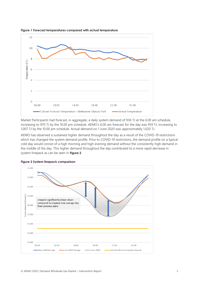

<span id="page-4-0"></span>**Figure 1 Forecast temperatures compared with actual temperature**

Market Participants had forecast, in aggregate, a daily system demand of 936 TJ at the 6.00 am schedule, increasing to 970 TJ by the 10.00 pm schedule. AEMO's 6.00 am forecast for the day was 959 TJ, increasing to 1,007 TJ by the 10.00 pm schedule. Actual demand on 1 June 2020 was approximately 1,020 TJ.

AEMO has observed a sustained higher demand throughout the day as a result of the COVID-19 restrictions which has changed the system demand profile. Prior to COVID-19 restrictions, the demand profile on a typical cold day would consist of a high morning and high evening demand without the consistently high demand in the middle of the day. This higher demand throughout the day contributed to a more rapid decrease in system linepack as can be seen in **[Figure 2](#page-4-1)**.



<span id="page-4-1"></span>**Figure 2 System linepack comparison**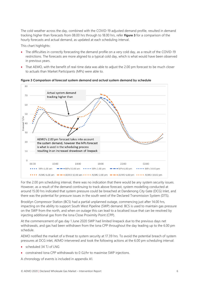The cold weather across the day, combined with the COVID-19 adjusted demand profile, resulted in demand tracking higher than forecasts from 08.00 hrs through to 18.00 hrs, refer **[Figure](#page-5-0) 3** for a comparison of the hourly forecasts and actual demand, as updated at each scheduling interval.

This chart highlights:

- The difficulties in correctly forecasting the demand profile on a very cold day, as a result of the COVID-19 restrictions. The forecasts are more aligned to a typical cold day, which is what would have been observed in previous years.
- That AEMO, with the benefit of real-time data was able to adjust the 2.00 pm forecast to be much closer to actuals than Market Participants (MPs) were able to.



<span id="page-5-0"></span>**Figure 3 Comparison of forecast system demand and actual system demand by schedule**

For the 2.00 pm scheduling interval, there was no indication that there would be any system security issues. However, as a result of the demand continuing to track above forecast, system modelling conducted at around 15.00 hrs indicated that system pressure could be breached at Dandenong City Gate (DCG) Inlet, and there was the potential for pressure issues in the south west of the Declared Transmission System (DTS).

Brooklyn Compressor Station (BCS) had a partial unplanned outage, commencing just after 14.00 hrs, impacting on the ability to support South West Pipeline (SWP) demand. BCS is used to maintain gas pressure on the SWP from the north, and when on outage this can lead to a localised issue that can be resolved by injecting additional gas from the Iona Close Proximity Point (CPP).

At the commencement of gas day 1 June 2020 SWP had limited linepack due to the previous days net withdrawals, and gas had been withdrawn from the Iona CPP throughout the day leading up to the 6.00 pm schedule.

AEMO notified the market of a threat to system security at 17.39 hrs. To avoid the potential breach of system pressures at DCG inlet, AEMO intervened and took the following actions at the 6.00 pm scheduling interval:

- scheduled 34 TJ of LNG
- constrained Iona CPP withdrawals to 0 GJ/hr to maximise SWP injections.

A chronology of events is included in appendix [A1.](#page-9-0)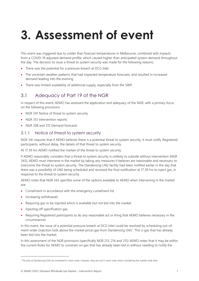# <span id="page-6-0"></span>**3. Assessment of event**

This event was triggered due to colder than forecast temperatures in Melbourne, combined with impacts from a COVID-19 adjusted demand profile, which caused higher than anticipated system demand throughout the day. The decision to issue a threat to system security was made for the following reasons:

- There was the potential for a pressure breach at DCG Inlet
- The uncertain weather patterns that had impacted temperature forecasts, and resulted in increased demand leading into the evening
- There was limited availability of additional supply, especially from the SWP.

### <span id="page-6-1"></span>3.1 Adequacy of Part 19 of the NGR

In respect of this event, AEMO has assessed the application and adequacy of the NGR, with a primary focus on the following provisions:

- NGR 341 Notice of threat to system security
- NGR 351 Intervention reports
- NGR 208 and 215 Demand forecasts

### <span id="page-6-2"></span>3.1.1 Notice of threat to system security

NGR 341 requires that if AEMO believes there is a potential threat to system security, it must notify Registered participants, without delay, the details of that threat to system security.

At 17.39 hrs AEMO notified the market of the threat to system security.

If AEMO reasonably considers that a threat to system security is unlikely to subside without intervention (NGR 343), AEMO must intervene in the market by taking any measures it believes are reasonable and necessary to overcome the threat to system security. The Dandenong LNG facility had been notified earlier in the day that there was a possibility of LNG being scheduled and received the final notification at 17.39 hrs to inject gas, in response to the threat to system security.

AEMO notes that NGR 343 specifies some of the options available to AEMO when intervening in the market are:

- Curtailment in accordance with the emergency curtailment list
- Increasing withdrawals
- Requiring gas to be injected which is available but not bid into the market
- Injecting off-specification gas
- Requiring Registered participants to do any reasonable act or thing that AEMO believes necessary in the circumstances.

In this event, the issue of a potential pressure breach at DCG Inlet could be resolved by scheduling out-ofmerit-order (injection bids above the market price) gas from Dandenong LNG<sup>1</sup>. This is gas that has already been bid into the market.

In this assessment of the NGR provisions (specifically NGR 213, 214 and 215) AEMO notes that it may be within the current Rules for AEMO to constrain on gas that has already been bid in without needing to notify the

<sup>1</sup> The bids at Dandenong LNG are scheduled in merit order, however, they are not in merit order when considering the market-wide bids.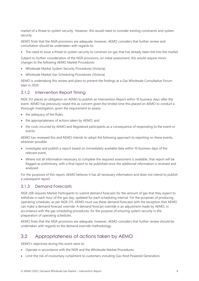market of a threat to system security. However, this would need to consider existing constraints and system security.

AEMO finds that the NGR provisions are adequate, however, AEMO considers that further review and consultation should be undertaken with regards to:

• The need to issue a threat to system security to constrain on gas that has already been bid into the market

Subject to further consideration of the NGR provisions, on initial assessment, this would require minor changes to the following AEMO Market Procedures:

- Wholesale Market System Security Procedures (Victoria)
- Wholesale Market Gas Scheduling Procedures (Victoria)

AEMO is undertaking this review and plans to present the findings at a Gas Wholesale Consultative Forum later in 2020.

### <span id="page-7-0"></span>3.1.2 Intervention Report Timing

NGR 351 places an obligation on AEMO to publish an Intervention Report within 10 business days after the event. AEMO has previously raised this as concern given the limited time this placed on AEMO to conduct a thorough investigation, given the requirement to assess:

- the adequacy of the Rules;
- the appropriateness of actions taken by AEMO; and
- the costs incurred by AEMO and Registered participants as a consequence of responding to the event or events.

AEMO has reviewed this and AEMO intends to adopt the following approach to reporting on these events, wherever possible:

- Investigate and publish a report based on immediately available data within 10 business days of the relevant event.
- Where not all information necessary to complete the required assessment is available, that report will be flagged as preliminary, with a final report to be published once the additional information is received and analysed.

For the purposes of this report, AEMO believes it has all necessary information and does not intend to publish a subsequent report.

### <span id="page-7-1"></span>3.1.3 Demand Forecasts

NGR 208 requires Market Participants to submit demand forecasts for the amount of gas that they expect to withdraw in each hour of the gas day, updated for each scheduling interval. For the purposes of producing operating schedules, as per NGR 215, AEMO must use these demand forecasts with the exception that AEMO can make a demand forecast override. A demand forecast override is an adjustment made by AEMO, in accordance with the gas scheduling procedures, for the purpose of ensuring system security in the preparation of operating schedules.

AEMO finds that the NGR provisions are adequate, however, AEMO considers that further review should be undertaken with regards to the demand override methodology.

### <span id="page-7-2"></span>3.2 Appropriateness of actions taken by AEMO

AEMO's objectives during this event were to:

- Operate in accordance with the NGR and the Wholesale Market Procedures;
- Limit the risk of involuntary curtailment to customers including Gas-fired Powered Generation;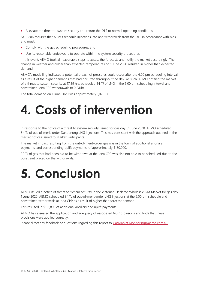• Alleviate the threat to system security and return the DTS to normal operating conditions.

NGR 206 requires that AEMO schedule injections into and withdrawals from the DTS in accordance with bids and must:

- Comply with the gas scheduling procedures; and
- Use its reasonable endeavours to operate within the system security procedures.

In this event, AEMO took all reasonable steps to assess the forecasts and notify the market accordingly. The change in weather and colder than expected temperatures on 1 June 2020 resulted in higher than expected demand.

AEMO's modelling indicated a potential breach of pressures could occur after the 6.00 pm scheduling interval as a result of the higher demands that had occurred throughout the day. As such, AEMO notified the market of a threat to system security at 17.39 hrs, scheduled 34 TJ of LNG in the 6.00 pm scheduling interval and constrained Iona CPP withdrawals to 0 GJ/hr.

The total demand on 1 June 2020 was approximately 1,020 TJ.

# <span id="page-8-0"></span>**4. Costs of intervention**

In response to the notice of a threat to system security issued for gas day 01 June 2020, AEMO scheduled 34 TJ of out-of-merit-order Dandenong LNG injections. This was consistent with the approach outlined in the market notices issued to Market Participants.

The market impact resulting from the out-of-merit-order gas was in the form of additional ancillary payments, and corresponding uplift payments, of approximately \$150,000.

32 TJ of gas that had been bid to be withdrawn at the Iona CPP was also not able to be scheduled due to the constraint placed on the withdrawals.

## <span id="page-8-1"></span>**5. Conclusion**

AEMO issued a notice of threat to system security in the Victorian Declared Wholesale Gas Market for gas day 1 June 2020. AEMO scheduled 34 TJ of out-of-merit-order LNG injections at the 6.00 pm schedule and constrained withdrawals at Iona CPP as a result of higher than forecast demand.

This resulted in \$151,896 of additional ancillary and uplift payments.

AEMO has assessed the application and adequacy of associated NGR provisions and finds that these provisions were applied correctly.

Please direct any feedback or questions regarding this report to [GasMarket.Monitoring@aemo.com.au.](mailto:GasMarket.Monitoring@aemo.com.au)